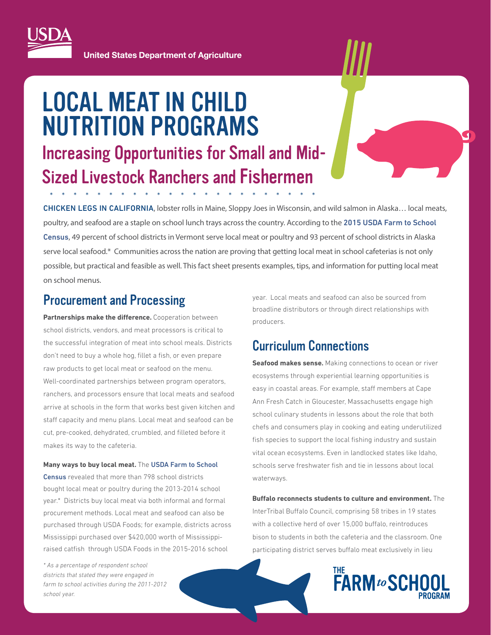

**United States Department of Agriculture** 

# LOCAL MEAT IN CHILD NUTRITION PROGRAMS

# Increasing Opportunities for Small and Mid-Sized Livestock Ranchers and Fishermen

\*\*\*\*\*\*\*\*\*\*\*\*\*\*\*\*\*\*\*\*\*\*\*

 on school menus. ChiCken legS in CAliForniA, lobster rolls in Maine, Sloppy Joes in Wisconsin, and wild salmon in Alaska… local meats, poultry, and seafood are a staple on school lunch trays across the country. According to the [2015 USDA Farm to School](https://farmtoschoolcensus.fns.usda.gov/)  [Census](https://farmtoschoolcensus.fns.usda.gov/), 49 percent of school districts in Vermont serve local meat or poultry and 93 percent of school districts in Alaska serve local seafood.\* Communities across the nation are proving that getting local meat in school cafeterias is not only possible, but practical and feasible as well. This fact sheet presents examples, tips, and information for putting local meat

### Procurement and Processing

Partnerships make the difference. Cooperation between school districts, vendors, and meat processors is critical to the successful integration of meat into school meals. Districts don't need to buy a whole hog, fillet a fish, or even prepare raw products to get local meat or seafood on the menu. Well-coordinated partnerships between program operators, ranchers, and processors ensure that local meats and seafood arrive at schools in the form that works best given kitchen and staff capacity and menu plans. Local meat and seafood can be cut, pre-cooked, dehydrated, crumbled, and filleted before it makes its way to the cafeteria.

**Many ways to buy local meat.** The [USDA Farm to School](https://farmtoschoolcensus.fns.usda.gov/)  [Census](https://farmtoschoolcensus.fns.usda.gov/) revealed that more than 798 school districts bought local meat or poultry during the 2013-2014 school year.\* Districts buy local meat via both informal and formal procurement methods. Local meat and seafood can also be purchased through USDA Foods; for example, districts across Mississippi purchased over \$420,000 worth of Mississippiraised catfish through USDA Foods in the 2015-2016 school

*\* As a percentage of respondent school districts that stated they were engaged in farm to school activities during the 2011-2012 school year.* 

year. Local meats and seafood can also be sourced from broadline distributors or through direct relationships with producers.

# Curriculum Connections

**Seafood makes sense.** Making connections to ocean or river ecosystems through experiential learning opportunities is easy in coastal areas. For example, staff members at Cape Ann Fresh Catch in Gloucester, Massachusetts engage high school culinary students in lessons about the role that both chefs and consumers play in cooking and eating underutilized fish species to support the local fishing industry and sustain vital ocean ecosystems. Even in landlocked states like Idaho, schools serve freshwater fish and tie in lessons about local waterways.

**Buffalo reconnects students to culture and environment.** The InterTribal Buffalo Council, comprising 58 tribes in 19 states with a collective herd of over 15,000 buffalo, reintroduces bison to students in both the cafeteria and the classroom. One participating district serves buffalo meat exclusively in lieu